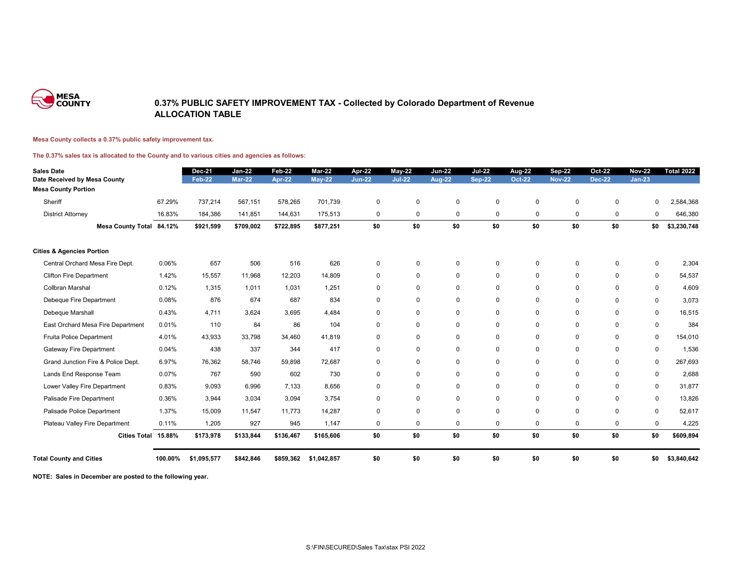

### **0.37% PUBLIC SAFETY IMPROVEMENT TAX - Collected by Colorado Department of Revenue ALLOCATION TABLE**

#### **Mesa County collects a 0.37% public safety improvement tax.**

#### **The 0.37% sales tax is allocated to the County and to various cities and agencies as follows:**

| <b>Sales Date</b>                    |         | <b>Dec-21</b> | <b>Jan-22</b> | <b>Feb-22</b> | <b>Mar-22</b> | <b>Apr-22</b> | $May-22$       | <b>Jun-22</b> | <b>Jul-22</b> | <b>Aug-22</b> | <b>Sep-22</b> | <b>Oct-22</b>  | <b>Nov-22</b> | <b>Total 2022</b> |
|--------------------------------------|---------|---------------|---------------|---------------|---------------|---------------|----------------|---------------|---------------|---------------|---------------|----------------|---------------|-------------------|
| Date Received by Mesa County         |         | <b>Feb-22</b> | <b>Mar-22</b> | <b>Apr-22</b> | $May-22$      | <b>Jun-22</b> | <b>Jul-22</b>  | <b>Aug-22</b> | <b>Sep-22</b> | <b>Oct-22</b> | <b>Nov-22</b> | <b>Dec-22</b>  | $Jan-23$      |                   |
| <b>Mesa County Portion</b>           |         |               |               |               |               |               |                |               |               |               |               |                |               |                   |
| Sheriff                              | 67.29%  | 737,214       | 567,151       | 578,265       | 701,739       | $\mathbf 0$   | $\mathbf 0$    | $\mathbf 0$   | $\pmb{0}$     | $\pmb{0}$     | $\mathbf 0$   | $\mathbf 0$    | 0             | 2,584,368         |
| <b>District Attorney</b>             | 16.83%  | 184,386       | 141,851       | 144,631       | 175,513       | $\mathbf 0$   | 0              | $\mathbf 0$   | $\mathbf 0$   | $\pmb{0}$     | 0             | $\mathbf 0$    | 0             | 646,380           |
| Mesa County Total 84.12%             |         | \$921,599     | \$709,002     | \$722,895     | \$877,251     | \$0           | \$0            | \$0           | \$0           | \$0           | \$0           | \$0            | \$0           | \$3,230,748       |
| <b>Cities &amp; Agencies Portion</b> |         |               |               |               |               |               |                |               |               |               |               |                |               |                   |
| Central Orchard Mesa Fire Dept.      | 0.06%   | 657           | 506           | 516           | 626           | $\mathbf 0$   | $\mathbf{0}$   | $\mathbf{0}$  | $\mathbf 0$   | $\Omega$      | $\Omega$      | $\Omega$       | $\mathbf 0$   | 2,304             |
| <b>Clifton Fire Department</b>       | 1.42%   | 15,557        | 11,968        | 12,203        | 14,809        | $\mathbf 0$   | $\mathbf 0$    | $\mathbf 0$   | $\mathbf 0$   | $\mathbf 0$   | $\mathbf 0$   | $\mathbf 0$    | $\mathbf 0$   | 54,537            |
| Collbran Marshal                     | 0.12%   | 1,315         | 1,011         | 1,031         | 1,251         | $\mathbf 0$   | $\mathbf 0$    | $\mathbf 0$   | $\mathbf 0$   | $\mathbf 0$   | $\mathbf 0$   | $\overline{0}$ | $\mathbf 0$   | 4,609             |
| Debeque Fire Department              | 0.08%   | 876           | 674           | 687           | 834           | $\mathbf 0$   | $\mathbf 0$    | $\mathbf 0$   | $\mathbf 0$   | $\mathbf 0$   | $\mathbf 0$   | $\mathbf 0$    | $\mathbf 0$   | 3,073             |
| Debeque Marshall                     | 0.43%   | 4,711         | 3,624         | 3,695         | 4,484         | $\mathbf 0$   | 0              | $\mathbf 0$   | $\mathbf 0$   | $\mathbf 0$   | $\mathbf 0$   | $\mathbf 0$    | $\mathbf 0$   | 16,515            |
| East Orchard Mesa Fire Department    | 0.01%   | 110           | 84            | 86            | 104           | $\mathbf 0$   | $\overline{0}$ | $\mathbf 0$   | $\mathbf 0$   | $\mathbf 0$   | $\mathbf 0$   | $\mathbf 0$    | $\mathbf 0$   | 384               |
| <b>Fruita Police Department</b>      | 4.01%   | 43,933        | 33,798        | 34,460        | 41,819        | $\mathbf 0$   | $\mathbf 0$    | $\mathbf 0$   | $\mathbf 0$   | $\mathbf 0$   | $\mathbf 0$   | $\mathbf 0$    | $\mathbf 0$   | 154,010           |
| <b>Gateway Fire Department</b>       | 0.04%   | 438           | 337           | 344           | 417           | $\mathbf 0$   | $\mathbf 0$    | $\mathbf 0$   | $\mathbf 0$   | $\mathbf 0$   | $\mathbf 0$   | $\Omega$       | $\mathbf 0$   | 1,536             |
| Grand Junction Fire & Police Dept.   | 6.97%   | 76,362        | 58,746        | 59,898        | 72,687        | $\mathbf 0$   | $\mathbf 0$    | $\mathbf 0$   | $\mathbf 0$   | $\mathbf 0$   | $\mathbf 0$   | $\Omega$       | $\mathbf 0$   | 267,693           |
| Lands End Response Team              | 0.07%   | 767           | 590           | 602           | 730           | $\mathbf 0$   | $\mathbf 0$    | $\mathbf 0$   | $\mathbf 0$   | $\mathbf 0$   | $\mathbf 0$   | $\mathbf 0$    | $\mathbf 0$   | 2,688             |
| Lower Valley Fire Department         | 0.83%   | 9,093         | 6,996         | 7,133         | 8,656         | $\mathbf 0$   | $\mathbf 0$    | $\mathbf 0$   | $\mathbf 0$   | $\mathbf 0$   | $\mathbf 0$   | $\overline{0}$ | $\mathbf 0$   | 31,877            |
| Palisade Fire Department             | 0.36%   | 3,944         | 3,034         | 3,094         | 3,754         | $\mathbf 0$   | $\mathbf 0$    | $\mathbf 0$   | $\mathbf 0$   | $\mathbf 0$   | $\Omega$      | $\mathbf 0$    | $\mathbf 0$   | 13,826            |
| Palisade Police Department           | 1.37%   | 15,009        | 11,547        | 11,773        | 14,287        | $\mathbf 0$   | $\mathbf 0$    | $\mathbf 0$   | $\mathbf 0$   | $\mathbf 0$   | $\mathbf 0$   | $\mathbf 0$    | $\mathbf 0$   | 52,617            |
| Plateau Valley Fire Department       | 0.11%   | 1,205         | 927           | 945           | 1,147         | $\mathbf 0$   | $\mathbf 0$    | $\mathbf 0$   | $\mathbf 0$   | $\mathbf 0$   | $\mathbf 0$   | $\mathbf 0$    | $\mathbf 0$   | 4,225             |
| Cities Total 15.88%                  |         | \$173,978     | \$133,844     | \$136,467     | \$165,606     | \$0           | \$0            | \$0           | \$0           | \$0           | \$0           | \$0            | \$0           | \$609,894         |
| <b>Total County and Cities</b>       | 100.00% | \$1,095,577   | \$842,846     | \$859,362     | \$1,042,857   | \$0           | \$0            | \$0           | \$0           | \$0           | \$0           | \$0            | \$0           | \$3,840,642       |

**NOTE: Sales in December are posted to the following year.**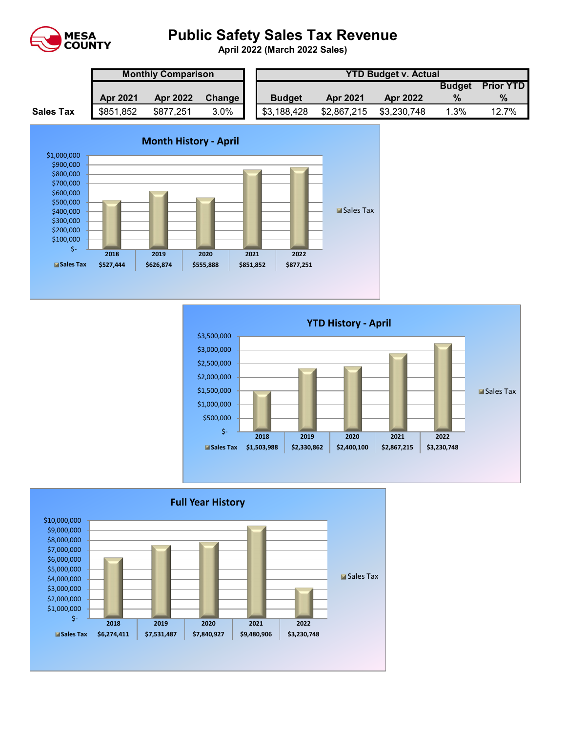

# **Public Safety Sales Tax Revenue**

**April 2022 (March 2022 Sales)** 

|                  | <b>Monthly Comparison</b> |                 |               |  | <b>YTD Budget v. Actual</b> |                 |             |               |                  |  |  |
|------------------|---------------------------|-----------------|---------------|--|-----------------------------|-----------------|-------------|---------------|------------------|--|--|
|                  |                           |                 |               |  |                             |                 |             | <b>Budget</b> | <b>Prior YTD</b> |  |  |
|                  | <b>Apr 2021</b>           | <b>Apr 2022</b> | <b>Change</b> |  | <b>Budget</b>               | <b>Apr 2021</b> | Apr 2022    |               | $\%$             |  |  |
| <b>Sales Tax</b> | \$851,852                 | \$877,251       | 3.0%          |  | \$3,188,428                 | \$2,867,215     | \$3,230,748 | 1.3%          | 12.7%            |  |  |